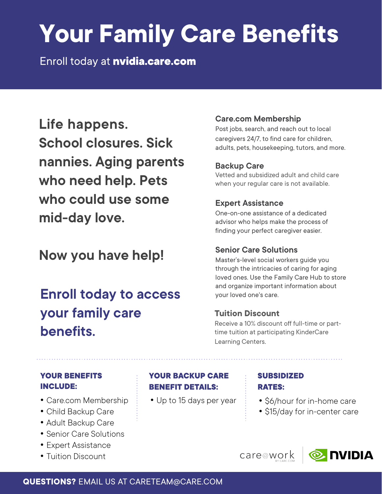# **Your Family Care Benefits**

Enroll today at **nvidia.care.com** 

**Life happens. School closures. Sick nannies. Aging parents who need help. Pets who could use some mid-day love.**

**Now you have help!**

### **Enroll today to access your family care benefits.**

#### **Care.com Membership**

Post jobs, search, and reach out to local caregivers 24/7, to find care for children, adults, pets, housekeeping, tutors, and more.

#### **Backup Care**

Vetted and subsidized adult and child care when your regular care is not available.

#### **Expert Assistance**

One-on-one assistance of a dedicated advisor who helps make the process of finding your perfect caregiver easier.

#### **Senior Care Solutions**

Master's-level social workers guide you through the intricacies of caring for aging loved ones. Use the Family Care Hub to store and organize important information about your loved one's care.

#### **Tuition Discount**

Receive a 10% discount off full-time or parttime tuition at participating KinderCare Learning Centers.

#### **YOUR BENEFITS INCLUDE:**

- Care.com Membership
- Child Backup Care
- Adult Backup Care
- Senior Care Solutions
- Expert Assistance
- Tuition Discount

#### **YOUR BACKUP CARE BENEFIT DETAILS:**

#### **SUBSIDIZED RATES:**

- Up to 15 days per year : \$6/hour for in-home care
	- \$15/day for in-center care

care@work